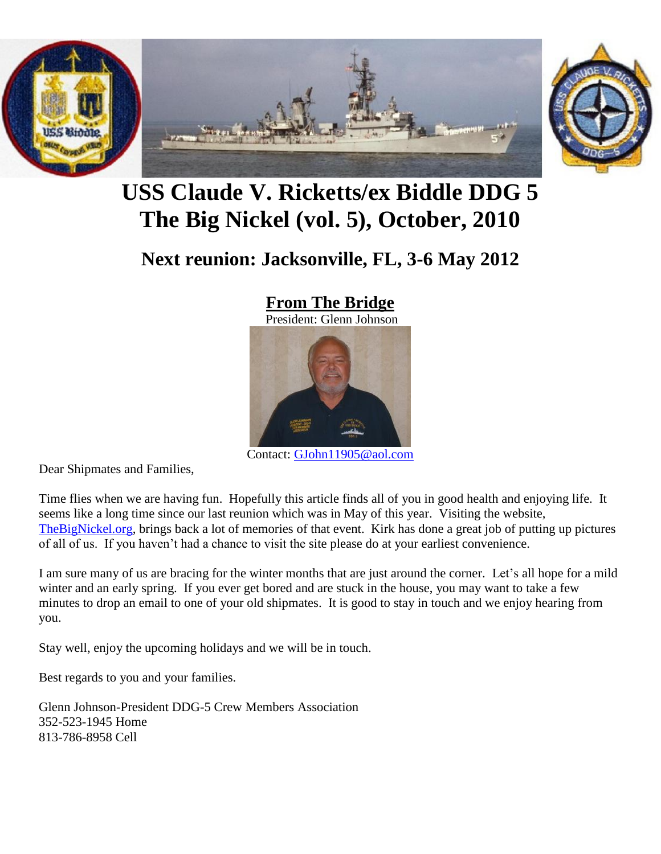

# **USS Claude V. Ricketts/ex Biddle DDG 5 The Big Nickel (vol. 5), October, 2010**

## **Next reunion: Jacksonville, FL, 3-6 May 2012**

### **From The Bridge**

President: Glenn Johnson



Contact: [GJohn11905@aol.com](mailto:GJohn11905@aol.com)

Dear Shipmates and Families,

Time flies when we are having fun. Hopefully this article finds all of you in good health and enjoying life. It seems like a long time since our last reunion which was in May of this year. Visiting the website, [TheBigNickel.org,](http://thebignickel.org/) brings back a lot of memories of that event. Kirk has done a great job of putting up pictures of all of us. If you haven't had a chance to visit the site please do at your earliest convenience.

I am sure many of us are bracing for the winter months that are just around the corner. Let's all hope for a mild winter and an early spring. If you ever get bored and are stuck in the house, you may want to take a few minutes to drop an email to one of your old shipmates. It is good to stay in touch and we enjoy hearing from you.

Stay well, enjoy the upcoming holidays and we will be in touch.

Best regards to you and your families.

Glenn Johnson-President DDG-5 Crew Members Association 352-523-1945 Home 813-786-8958 Cell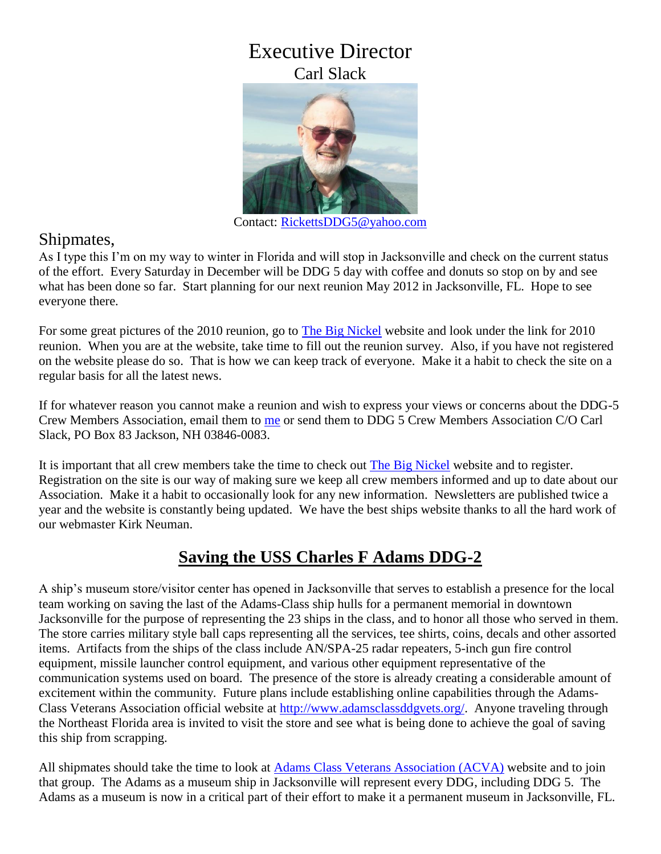## Executive Director Carl Slack



Contact:<RickettsDDG5@yahoo.com>

#### Shipmates,

As I type this I'm on my way to winter in Florida and will stop in Jacksonville and check on the current status of the effort. Every Saturday in December will be DDG 5 day with coffee and donuts so stop on by and see what has been done so far. Start planning for our next reunion May 2012 in Jacksonville, FL. Hope to see everyone there.

For some great pictures of the 2010 reunion, go to [The Big Nickel](http://thebignickel.org/) website and look under the link for 2010 reunion. When you are at the website, take time to fill out the reunion survey. Also, if you have not registered on the website please do so. That is how we can keep track of everyone. Make it a habit to check the site on a regular basis for all the latest news.

If for whatever reason you cannot make a reunion and wish to express your views or concerns about the DDG-5 Crew Members Association, email them to [me](mailto:rickettsddg5@yahoo.com) or send them to DDG 5 Crew Members Association C/O Carl Slack, PO Box 83 Jackson, NH 03846-0083.

It is important that all crew members take the time to check out [The Big Nickel](http://thebignickel.org/) website and to register. Registration on the site is our way of making sure we keep all crew members informed and up to date about our Association. Make it a habit to occasionally look for any new information. Newsletters are published twice a year and the website is constantly being updated. We have the best ships website thanks to all the hard work of our webmaster Kirk Neuman.

## **Saving the USS Charles F Adams DDG-2**

A ship's museum store/visitor center has opened in Jacksonville that serves to establish a presence for the local team working on saving the last of the Adams-Class ship hulls for a permanent memorial in downtown Jacksonville for the purpose of representing the 23 ships in the class, and to honor all those who served in them. The store carries military style ball caps representing all the services, tee shirts, coins, decals and other assorted items. Artifacts from the ships of the class include AN/SPA-25 radar repeaters, 5-inch gun fire control equipment, missile launcher control equipment, and various other equipment representative of the communication systems used on board. The presence of the store is already creating a considerable amount of excitement within the community. Future plans include establishing online capabilities through the Adams-Class Veterans Association official website at [http://www.adamsclassddgvets.org/.](http://www.adamsclassddgvets.org/) Anyone traveling through the Northeast Florida area is invited to visit the store and see what is being done to achieve the goal of saving this ship from scrapping.

All shipmates should take the time to look at **Adams Class Veterans Association (ACVA)** website and to join that group. The Adams as a museum ship in Jacksonville will represent every DDG, including DDG 5. The Adams as a museum is now in a critical part of their effort to make it a permanent museum in Jacksonville, FL.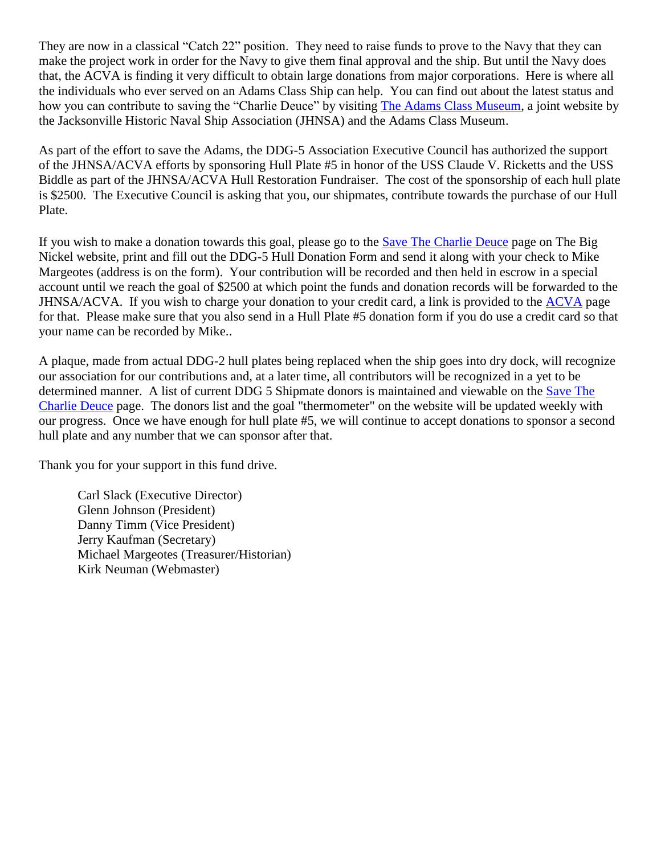They are now in a classical "Catch 22" position. They need to raise funds to prove to the Navy that they can make the project work in order for the Navy to give them final approval and the ship. But until the Navy does that, the ACVA is finding it very difficult to obtain large donations from major corporations. Here is where all the individuals who ever served on an Adams Class Ship can help. You can find out about the latest status and how you can contribute to saving the "Charlie Deuce" by visiting [The Adams Class Museum,](http://adamsclassmuseum.org/) a joint website by the Jacksonville Historic Naval Ship Association (JHNSA) and the Adams Class Museum.

As part of the effort to save the Adams, the DDG-5 Association Executive Council has authorized the support of the JHNSA/ACVA efforts by sponsoring Hull Plate #5 in honor of the USS Claude V. Ricketts and the USS Biddle as part of the JHNSA/ACVA Hull Restoration Fundraiser. The cost of the sponsorship of each hull plate is \$2500. The Executive Council is asking that you, our shipmates, contribute towards the purchase of our Hull Plate.

If you wish to make a donation towards this goal, please go to the [Save The Charlie Deuce](http://thebignickel.org/SaveTheCharlieDeuce.html) page on The Big Nickel website, print and fill out the DDG-5 Hull Donation Form and send it along with your check to Mike Margeotes (address is on the form). Your contribution will be recorded and then held in escrow in a special account until we reach the goal of \$2500 at which point the funds and donation records will be forwarded to the JHNSA/ACVA. If you wish to charge your donation to your credit card, a link is provided to the [ACVA](http://www.adamsclassddgvets.org/) page for that. Please make sure that you also send in a Hull Plate #5 donation form if you do use a credit card so that your name can be recorded by Mike..

A plaque, made from actual DDG-2 hull plates being replaced when the ship goes into dry dock, will recognize our association for our contributions and, at a later time, all contributors will be recognized in a yet to be determined manner. A list of current DDG 5 Shipmate donors is maintained and viewable on the Save The [Charlie Deuce](http://thebignickel.org/SaveTheCharlieDeuce.html) page. The donors list and the goal "thermometer" on the website will be updated weekly with our progress. Once we have enough for hull plate #5, we will continue to accept donations to sponsor a second hull plate and any number that we can sponsor after that.

Thank you for your support in this fund drive.

Carl Slack (Executive Director) Glenn Johnson (President) Danny Timm (Vice President) Jerry Kaufman (Secretary) Michael Margeotes (Treasurer/Historian) Kirk Neuman (Webmaster)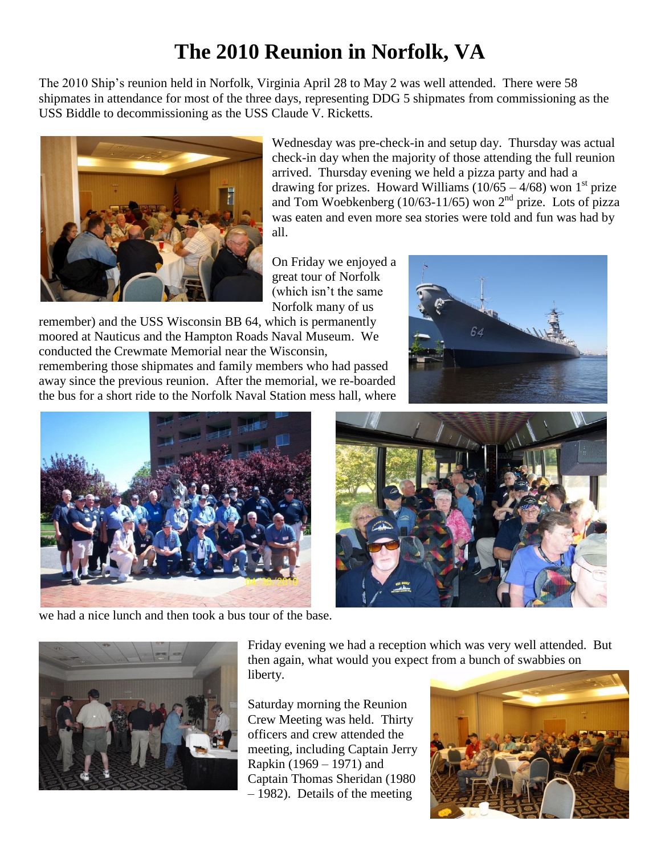# **The 2010 Reunion in Norfolk, VA**

The 2010 Ship's reunion held in Norfolk, Virginia April 28 to May 2 was well attended. There were 58 shipmates in attendance for most of the three days, representing DDG 5 shipmates from commissioning as the USS Biddle to decommissioning as the USS Claude V. Ricketts.



Wednesday was pre-check-in and setup day. Thursday was actual check-in day when the majority of those attending the full reunion arrived. Thursday evening we held a pizza party and had a drawing for prizes. Howard Williams  $(10/65 - 4/68)$  won 1<sup>st</sup> prize and Tom Woebkenberg (10/63-11/65) won  $2<sup>nd</sup>$  prize. Lots of pizza was eaten and even more sea stories were told and fun was had by all.

On Friday we enjoyed a great tour of Norfolk (which isn't the same Norfolk many of us

remember) and the USS Wisconsin BB 64, which is permanently moored at Nauticus and the Hampton Roads Naval Museum. We conducted the Crewmate Memorial near the Wisconsin,

remembering those shipmates and family members who had passed away since the previous reunion. After the memorial, we re-boarded the bus for a short ride to the Norfolk Naval Station mess hall, where





we had a nice lunch and then took a bus tour of the base.



Friday evening we had a reception which was very well attended. But then again, what would you expect from a bunch of swabbies on liberty.

Saturday morning the Reunion Crew Meeting was held. Thirty officers and crew attended the meeting, including Captain Jerry Rapkin (1969 – 1971) and Captain Thomas Sheridan (1980 – 1982). Details of the meeting

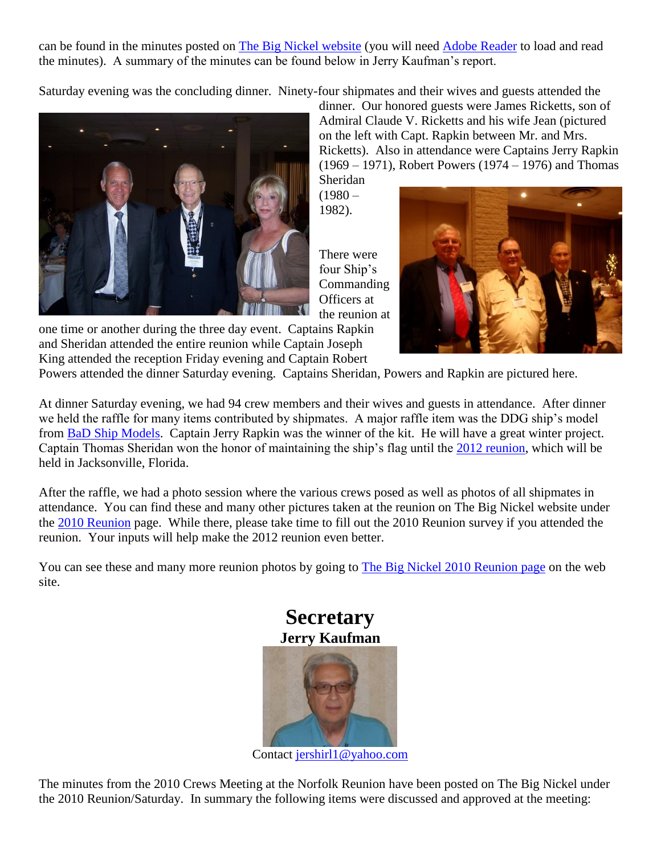can be found in the minutes posted on [The Big Nickel website](http://thebignickel.org/TheReunions/2010/DDG5_Association_Crew_Meeting_Minutes_5-1-2010.pdf) (you will need [Adobe Reader](http://get.adobe.com/reader/) to load and read the minutes). A summary of the minutes can be found below in Jerry Kaufman's report.

Saturday evening was the concluding dinner. Ninety-four shipmates and their wives and guests attended the



dinner. Our honored guests were James Ricketts, son of Admiral Claude V. Ricketts and his wife Jean (pictured on the left with Capt. Rapkin between Mr. and Mrs. Ricketts). Also in attendance were Captains Jerry Rapkin (1969 – 1971), Robert Powers (1974 – 1976) and Thomas Sheridan

 $(1980 -$ 1982).

There were four Ship's **Commanding** Officers at the reunion at



one time or another during the three day event. Captains Rapkin and Sheridan attended the entire reunion while Captain Joseph King attended the reception Friday evening and Captain Robert

Powers attended the dinner Saturday evening. Captains Sheridan, Powers and Rapkin are pictured here.

At dinner Saturday evening, we had 94 crew members and their wives and guests in attendance. After dinner we held the raffle for many items contributed by shipmates. A major raffle item was the DDG ship's model from [BaD Ship Models.](http://thebignickel.org/ShipModel.html) Captain Jerry Rapkin was the winner of the kit. He will have a great winter project. Captain Thomas Sheridan won the honor of maintaining the ship's flag until the [2012 reunion,](http://thebignickel.org/2012Reunion.html) which will be held in Jacksonville, Florida.

After the raffle, we had a photo session where the various crews posed as well as photos of all shipmates in attendance. You can find these and many other pictures taken at the reunion on The Big Nickel website under the [2010 Reunion](http://thebignickel.org/2010Reunion.html) page. While there, please take time to fill out the 2010 Reunion survey if you attended the reunion. Your inputs will help make the 2012 reunion even better.

You can see these and many more reunion photos by going to **The Big Nickel 2010 Reunion page** on the web site.



Contact [jershirl1@yahoo.com](mailto:jershirl1@yahoo.com)

The minutes from the 2010 Crews Meeting at the Norfolk Reunion have been posted on The Big Nickel under the 2010 Reunion/Saturday. In summary the following items were discussed and approved at the meeting: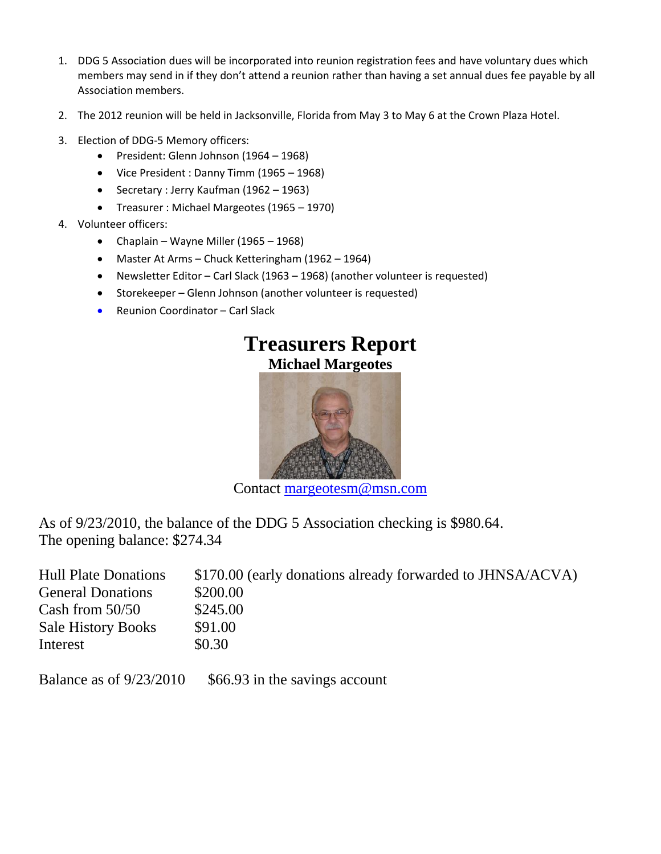- 1. DDG 5 Association dues will be incorporated into reunion registration fees and have voluntary dues which members may send in if they don't attend a reunion rather than having a set annual dues fee payable by all Association members.
- 2. The 2012 reunion will be held in Jacksonville, Florida from May 3 to May 6 at the Crown Plaza Hotel.
- 3. Election of DDG-5 Memory officers:
	- President: Glenn Johnson (1964 1968)
	- Vice President : Danny Timm (1965 1968)
	- Secretary : Jerry Kaufman (1962 1963)
	- Treasurer : Michael Margeotes (1965 1970)
- 4. Volunteer officers:
	- Chaplain Wayne Miller (1965 1968)
	- Master At Arms Chuck Ketteringham (1962 1964)
	- Newsletter Editor Carl Slack (1963 1968) (another volunteer is requested)
	- Storekeeper Glenn Johnson (another volunteer is requested)
	- Reunion Coordinator Carl Slack



Contact [margeotesm@msn.com](mailto:margeotesm@msn.com)

As of 9/23/2010, the balance of the DDG 5 Association checking is \$980.64. The opening balance: \$274.34

| <b>Hull Plate Donations</b> | \$170.00 (early donations already forwarded to JHNSA/ACVA) |
|-----------------------------|------------------------------------------------------------|
| <b>General Donations</b>    | \$200.00                                                   |
| Cash from $50/50$           | \$245.00                                                   |
| <b>Sale History Books</b>   | \$91.00                                                    |
| Interest                    | \$0.30                                                     |

Balance as of  $9/23/2010$  \$66.93 in the savings account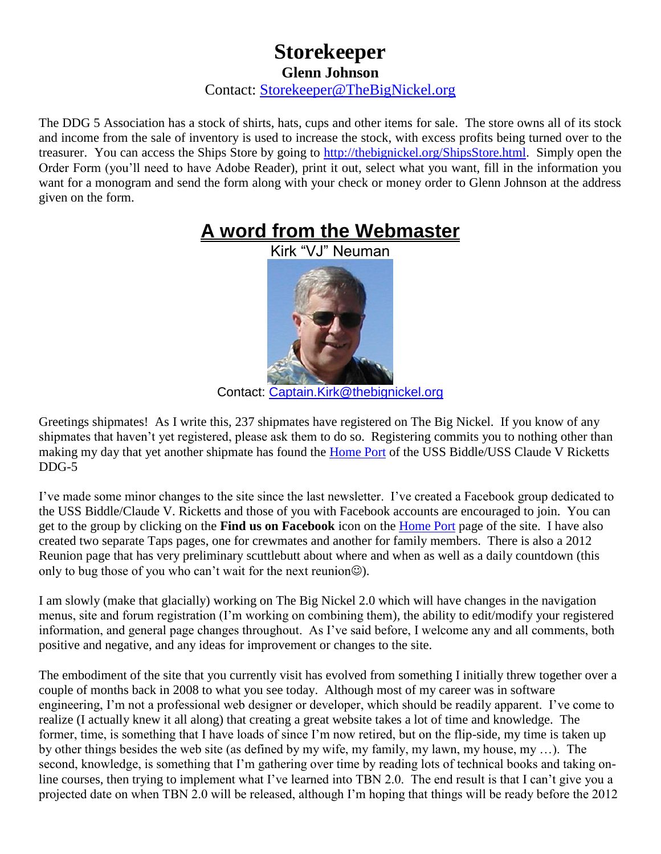### **Storekeeper Glenn Johnson** Contact: [Storekeeper@TheBigNickel.org](mailto:storekeeper@thebignickel.org)

The DDG 5 Association has a stock of shirts, hats, cups and other items for sale. The store owns all of its stock and income from the sale of inventory is used to increase the stock, with excess profits being turned over to the treasurer. You can access the Ships Store by going to [http://thebignickel.org/ShipsStore.html.](http://thebignickel.org/ShipsStore.html) Simply open the Order Form (you'll need to have Adobe Reader), print it out, select what you want, fill in the information you want for a monogram and send the form along with your check or money order to Glenn Johnson at the address given on the form.

## **A word from the Webmaster**

Kirk "VJ" Neuman



Contact: [Captain.Kirk@thebignickel.org](mailto:Captain.Kirk@thebignickel.org)

Greetings shipmates! As I write this, 237 shipmates have registered on The Big Nickel. If you know of any shipmates that haven't yet registered, please ask them to do so. Registering commits you to nothing other than making my day that yet another shipmate has found the [Home Port](http://thebignickel.org/) of the USS Biddle/USS Claude V Ricketts DDG-5

I've made some minor changes to the site since the last newsletter. I've created a Facebook group dedicated to the USS Biddle/Claude V. Ricketts and those of you with Facebook accounts are encouraged to join. You can get to the group by clicking on the **Find us on Facebook** icon on the [Home Port](http://thebignickel.org/) page of the site. I have also created two separate Taps pages, one for crewmates and another for family members. There is also a 2012 Reunion page that has very preliminary scuttlebutt about where and when as well as a daily countdown (this only to bug those of you who can't wait for the next reunion $\circledcirc$ ).

I am slowly (make that glacially) working on The Big Nickel 2.0 which will have changes in the navigation menus, site and forum registration (I'm working on combining them), the ability to edit/modify your registered information, and general page changes throughout. As I've said before, I welcome any and all comments, both positive and negative, and any ideas for improvement or changes to the site.

The embodiment of the site that you currently visit has evolved from something I initially threw together over a couple of months back in 2008 to what you see today. Although most of my career was in software engineering, I'm not a professional web designer or developer, which should be readily apparent. I've come to realize (I actually knew it all along) that creating a great website takes a lot of time and knowledge. The former, time, is something that I have loads of since I'm now retired, but on the flip-side, my time is taken up by other things besides the web site (as defined by my wife, my family, my lawn, my house, my …). The second, knowledge, is something that I'm gathering over time by reading lots of technical books and taking online courses, then trying to implement what I've learned into TBN 2.0. The end result is that I can't give you a projected date on when TBN 2.0 will be released, although I'm hoping that things will be ready before the 2012